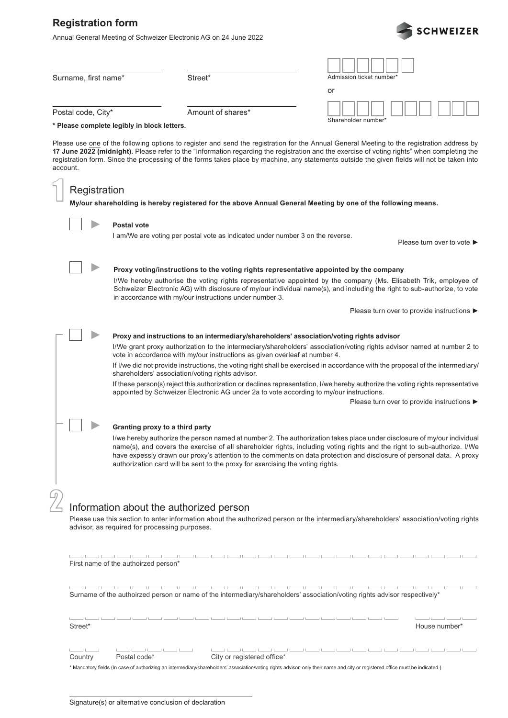## **Registration form**

Annual General Meeting of Schweizer Electronic AG on 24 June 2022



| Surname, first name*                                                                                                                                                                  |                                                                                                                                                                                                                                                                                                                                                                                                                                                                                                                                                                                                                                                                                                                                                                      | Street*                                                                                                                                                                                                                                                                                                                                                                                                                                   | Admission ticket number' |                                                |  |  |  |  |  |  |
|---------------------------------------------------------------------------------------------------------------------------------------------------------------------------------------|----------------------------------------------------------------------------------------------------------------------------------------------------------------------------------------------------------------------------------------------------------------------------------------------------------------------------------------------------------------------------------------------------------------------------------------------------------------------------------------------------------------------------------------------------------------------------------------------------------------------------------------------------------------------------------------------------------------------------------------------------------------------|-------------------------------------------------------------------------------------------------------------------------------------------------------------------------------------------------------------------------------------------------------------------------------------------------------------------------------------------------------------------------------------------------------------------------------------------|--------------------------|------------------------------------------------|--|--|--|--|--|--|
|                                                                                                                                                                                       |                                                                                                                                                                                                                                                                                                                                                                                                                                                                                                                                                                                                                                                                                                                                                                      |                                                                                                                                                                                                                                                                                                                                                                                                                                           | or                       |                                                |  |  |  |  |  |  |
| Postal code, City*                                                                                                                                                                    |                                                                                                                                                                                                                                                                                                                                                                                                                                                                                                                                                                                                                                                                                                                                                                      | Amount of shares*                                                                                                                                                                                                                                                                                                                                                                                                                         |                          |                                                |  |  |  |  |  |  |
| * Please complete legibly in block letters.                                                                                                                                           |                                                                                                                                                                                                                                                                                                                                                                                                                                                                                                                                                                                                                                                                                                                                                                      |                                                                                                                                                                                                                                                                                                                                                                                                                                           | Shareholder number*      |                                                |  |  |  |  |  |  |
| account.                                                                                                                                                                              |                                                                                                                                                                                                                                                                                                                                                                                                                                                                                                                                                                                                                                                                                                                                                                      | Please use one of the following options to register and send the registration for the Annual General Meeting to the registration address by<br>17 June 2022 (midnight). Please refer to the "Information regarding the registration and the exercise of voting rights" when completing the<br>registration form. Since the processing of the forms takes place by machine, any statements outside the given fields will not be taken into |                          |                                                |  |  |  |  |  |  |
| Registration                                                                                                                                                                          |                                                                                                                                                                                                                                                                                                                                                                                                                                                                                                                                                                                                                                                                                                                                                                      |                                                                                                                                                                                                                                                                                                                                                                                                                                           |                          |                                                |  |  |  |  |  |  |
| My/our shareholding is hereby registered for the above Annual General Meeting by one of the following means.                                                                          |                                                                                                                                                                                                                                                                                                                                                                                                                                                                                                                                                                                                                                                                                                                                                                      |                                                                                                                                                                                                                                                                                                                                                                                                                                           |                          |                                                |  |  |  |  |  |  |
|                                                                                                                                                                                       | <b>Postal vote</b>                                                                                                                                                                                                                                                                                                                                                                                                                                                                                                                                                                                                                                                                                                                                                   | I am/We are voting per postal vote as indicated under number 3 on the reverse.                                                                                                                                                                                                                                                                                                                                                            |                          | Please turn over to vote $\blacktriangleright$ |  |  |  |  |  |  |
|                                                                                                                                                                                       | Proxy voting/instructions to the voting rights representative appointed by the company<br>I/We hereby authorise the voting rights representative appointed by the company (Ms. Elisabeth Trik, employee of<br>Schweizer Electronic AG) with disclosure of my/our individual name(s), and including the right to sub-authorize, to vote<br>in accordance with my/our instructions under number 3.                                                                                                                                                                                                                                                                                                                                                                     |                                                                                                                                                                                                                                                                                                                                                                                                                                           |                          |                                                |  |  |  |  |  |  |
|                                                                                                                                                                                       |                                                                                                                                                                                                                                                                                                                                                                                                                                                                                                                                                                                                                                                                                                                                                                      |                                                                                                                                                                                                                                                                                                                                                                                                                                           |                          | Please turn over to provide instructions ▶     |  |  |  |  |  |  |
|                                                                                                                                                                                       | Proxy and instructions to an intermediary/shareholders' association/voting rights advisor<br>I/We grant proxy authorization to the intermediary/shareholders' association/voting rights advisor named at number 2 to<br>vote in accordance with my/our instructions as given overleaf at number 4.<br>If I/we did not provide instructions, the voting right shall be exercised in accordance with the proposal of the intermediary/<br>shareholders' association/voting rights advisor.<br>If these person(s) reject this authorization or declines representation, I/we hereby authorize the voting rights representative<br>appointed by Schweizer Electronic AG under 2a to vote according to my/our instructions.<br>Please turn over to provide instructions ▶ |                                                                                                                                                                                                                                                                                                                                                                                                                                           |                          |                                                |  |  |  |  |  |  |
|                                                                                                                                                                                       |                                                                                                                                                                                                                                                                                                                                                                                                                                                                                                                                                                                                                                                                                                                                                                      |                                                                                                                                                                                                                                                                                                                                                                                                                                           |                          |                                                |  |  |  |  |  |  |
|                                                                                                                                                                                       | Granting proxy to a third party<br>I/we hereby authorize the person named at number 2. The authorization takes place under disclosure of my/our individual<br>name(s), and covers the exercise of all shareholder rights, including voting rights and the right to sub-authorize. I/We<br>have expessly drawn our proxy's attention to the comments on data protection and disclosure of personal data. A proxy<br>authorization card will be sent to the proxy for exercising the voting rights.                                                                                                                                                                                                                                                                    |                                                                                                                                                                                                                                                                                                                                                                                                                                           |                          |                                                |  |  |  |  |  |  |
|                                                                                                                                                                                       | Information about the authorized person                                                                                                                                                                                                                                                                                                                                                                                                                                                                                                                                                                                                                                                                                                                              |                                                                                                                                                                                                                                                                                                                                                                                                                                           |                          |                                                |  |  |  |  |  |  |
| Please use this section to enter information about the authorized person or the intermediary/shareholders' association/voting rights<br>advisor, as required for processing purposes. |                                                                                                                                                                                                                                                                                                                                                                                                                                                                                                                                                                                                                                                                                                                                                                      |                                                                                                                                                                                                                                                                                                                                                                                                                                           |                          |                                                |  |  |  |  |  |  |
| كالمستنا لمسكا لمستنا لمط<br>كالمستنا المستالين كالمستالي<br>First name of the authoirzed person*                                                                                     |                                                                                                                                                                                                                                                                                                                                                                                                                                                                                                                                                                                                                                                                                                                                                                      |                                                                                                                                                                                                                                                                                                                                                                                                                                           |                          |                                                |  |  |  |  |  |  |
| Surname of the authoirzed person or name of the intermediary/shareholders' association/voting rights advisor respectively*                                                            |                                                                                                                                                                                                                                                                                                                                                                                                                                                                                                                                                                                                                                                                                                                                                                      |                                                                                                                                                                                                                                                                                                                                                                                                                                           |                          |                                                |  |  |  |  |  |  |
| Street*<br>House number*                                                                                                                                                              |                                                                                                                                                                                                                                                                                                                                                                                                                                                                                                                                                                                                                                                                                                                                                                      |                                                                                                                                                                                                                                                                                                                                                                                                                                           |                          |                                                |  |  |  |  |  |  |

Country Postal code\* City or registered office\*  $\Box$  $\begin{tabular}{c} \hline \quad \quad & \quad \quad & \quad \quad \\ \hline \end{tabular}$ كالمستالين المستالين المسالسيا المسالمين المسالين  $\sim$  10  $\pm$